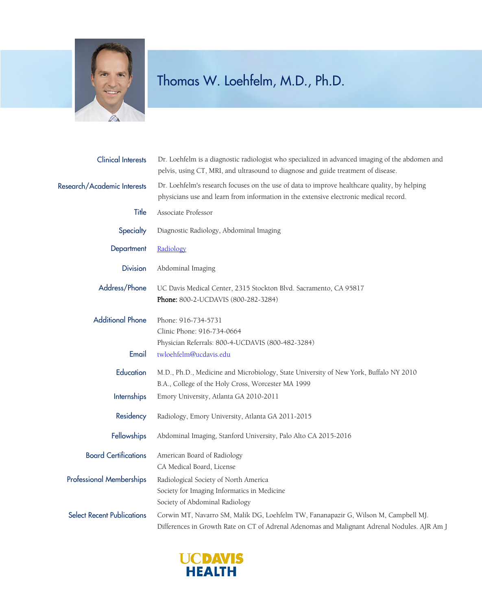

## Thomas W. Loehfelm, M.D., Ph.D.

| <b>Clinical Interests</b>         | Dr. Loehfelm is a diagnostic radiologist who specialized in advanced imaging of the abdomen and<br>pelvis, using CT, MRI, and ultrasound to diagnose and guide treatment of disease.  |
|-----------------------------------|---------------------------------------------------------------------------------------------------------------------------------------------------------------------------------------|
| Research/Academic Interests       | Dr. Loehfelm's research focuses on the use of data to improve healthcare quality, by helping<br>physicians use and learn from information in the extensive electronic medical record. |
| Title                             | Associate Professor                                                                                                                                                                   |
| Specialty                         | Diagnostic Radiology, Abdominal Imaging                                                                                                                                               |
| Department                        | Radiology                                                                                                                                                                             |
| <b>Division</b>                   | Abdominal Imaging                                                                                                                                                                     |
| Address/Phone                     | UC Davis Medical Center, 2315 Stockton Blvd. Sacramento, CA 95817<br>Phone: 800-2-UCDAVIS (800-282-3284)                                                                              |
| <b>Additional Phone</b>           | Phone: 916-734-5731<br>Clinic Phone: 916-734-0664<br>Physician Referrals: 800-4-UCDAVIS (800-482-3284)                                                                                |
| Email                             | twloehfelm@ucdavis.edu                                                                                                                                                                |
| Education                         | M.D., Ph.D., Medicine and Microbiology, State University of New York, Buffalo NY 2010<br>B.A., College of the Holy Cross, Worcester MA 1999                                           |
| <b>Internships</b>                | Emory University, Atlanta GA 2010-2011                                                                                                                                                |
| Residency                         | Radiology, Emory University, Atlanta GA 2011-2015                                                                                                                                     |
| Fellowships                       | Abdominal Imaging, Stanford University, Palo Alto CA 2015-2016                                                                                                                        |
| <b>Board Certifications</b>       | American Board of Radiology<br>CA Medical Board, License                                                                                                                              |
| <b>Professional Memberships</b>   | Radiological Society of North America<br>Society for Imaging Informatics in Medicine<br>Society of Abdominal Radiology                                                                |
| <b>Select Recent Publications</b> | Corwin MT, Navarro SM, Malik DG, Loehfelm TW, Fananapazir G, Wilson M, Campbell MJ.<br>Differences in Growth Rate on CT of Adrenal Adenomas and Malignant Adrenal Nodules. AJR Am J   |

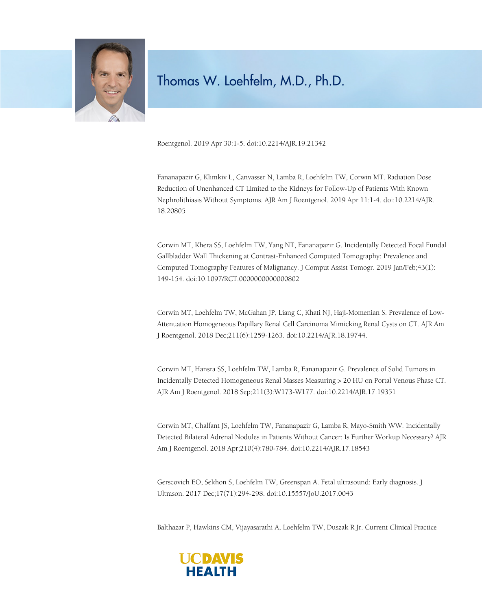

## Thomas W. Loehfelm, M.D., Ph.D.

Roentgenol. 2019 Apr 30:1-5. doi:10.2214/AJR.19.21342

Fananapazir G, Klimkiv L, Canvasser N, Lamba R, Loehfelm TW, Corwin MT. Radiation Dose Reduction of Unenhanced CT Limited to the Kidneys for Follow-Up of Patients With Known Nephrolithiasis Without Symptoms. AJR Am J Roentgenol. 2019 Apr 11:1-4. doi:10.2214/AJR. 18.20805

Corwin MT, Khera SS, Loehfelm TW, Yang NT, Fananapazir G. Incidentally Detected Focal Fundal Gallbladder Wall Thickening at Contrast-Enhanced Computed Tomography: Prevalence and Computed Tomography Features of Malignancy. J Comput Assist Tomogr. 2019 Jan/Feb;43(1): 149-154. doi:10.1097/RCT.0000000000000802

Corwin MT, Loehfelm TW, McGahan JP, Liang C, Khati NJ, Haji-Momenian S. Prevalence of Low-Attenuation Homogeneous Papillary Renal Cell Carcinoma Mimicking Renal Cysts on CT. AJR Am J Roentgenol. 2018 Dec;211(6):1259-1263. doi:10.2214/AJR.18.19744.

Corwin MT, Hansra SS, Loehfelm TW, Lamba R, Fananapazir G. Prevalence of Solid Tumors in Incidentally Detected Homogeneous Renal Masses Measuring > 20 HU on Portal Venous Phase CT. AJR Am J Roentgenol. 2018 Sep;211(3):W173-W177. doi:10.2214/AJR.17.19351

Corwin MT, Chalfant JS, Loehfelm TW, Fananapazir G, Lamba R, Mayo-Smith WW. Incidentally Detected Bilateral Adrenal Nodules in Patients Without Cancer: Is Further Workup Necessary? AJR Am J Roentgenol. 2018 Apr;210(4):780-784. doi:10.2214/AJR.17.18543

Gerscovich EO, Sekhon S, Loehfelm TW, Greenspan A. Fetal ultrasound: Early diagnosis. J Ultrason. 2017 Dec;17(71):294-298. doi:10.15557/JoU.2017.0043

Balthazar P, Hawkins CM, Vijayasarathi A, Loehfelm TW, Duszak R Jr. Current Clinical Practice